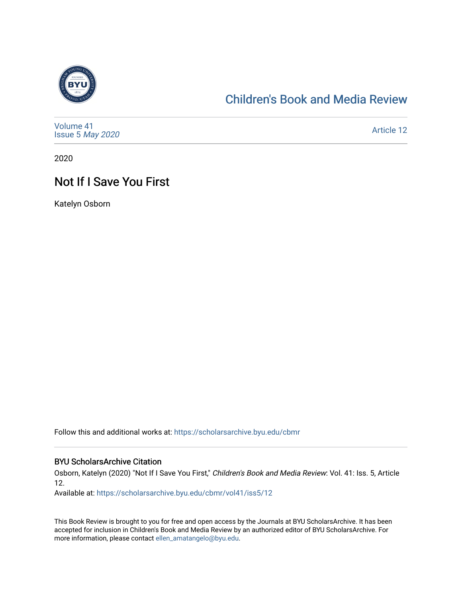

### [Children's Book and Media Review](https://scholarsarchive.byu.edu/cbmr)

| Volume 41<br>Issue 5 May 2020 | <b>Article 12</b> |
|-------------------------------|-------------------|
|-------------------------------|-------------------|

2020

## Not If I Save You First

Katelyn Osborn

Follow this and additional works at: [https://scholarsarchive.byu.edu/cbmr](https://scholarsarchive.byu.edu/cbmr?utm_source=scholarsarchive.byu.edu%2Fcbmr%2Fvol41%2Fiss5%2F12&utm_medium=PDF&utm_campaign=PDFCoverPages) 

#### BYU ScholarsArchive Citation

Osborn, Katelyn (2020) "Not If I Save You First," Children's Book and Media Review: Vol. 41: Iss. 5, Article 12.

Available at: [https://scholarsarchive.byu.edu/cbmr/vol41/iss5/12](https://scholarsarchive.byu.edu/cbmr/vol41/iss5/12?utm_source=scholarsarchive.byu.edu%2Fcbmr%2Fvol41%2Fiss5%2F12&utm_medium=PDF&utm_campaign=PDFCoverPages)

This Book Review is brought to you for free and open access by the Journals at BYU ScholarsArchive. It has been accepted for inclusion in Children's Book and Media Review by an authorized editor of BYU ScholarsArchive. For more information, please contact [ellen\\_amatangelo@byu.edu.](mailto:ellen_amatangelo@byu.edu)